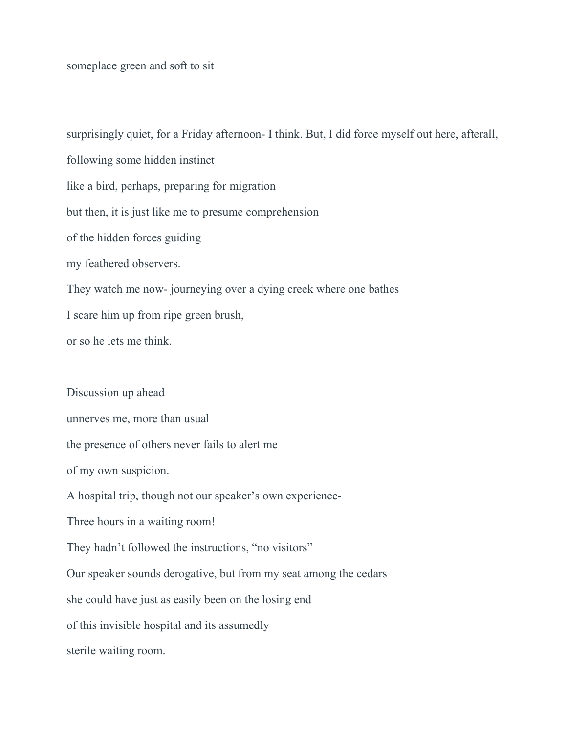someplace green and soft to sit

surprisingly quiet, for a Friday afternoon- I think. But, I did force myself out here, afterall, following some hidden instinct like a bird, perhaps, preparing for migration but then, it is just like me to presume comprehension of the hidden forces guiding my feathered observers. They watch me now- journeying over a dying creek where one bathes I scare him up from ripe green brush, or so he lets me think. Discussion up ahead unnerves me, more than usual the presence of others never fails to alert me of my own suspicion. A hospital trip, though not our speaker's own experience-Three hours in a waiting room! They hadn't followed the instructions, "no visitors"

Our speaker sounds derogative, but from my seat among the cedars

she could have just as easily been on the losing end

of this invisible hospital and its assumedly

sterile waiting room.